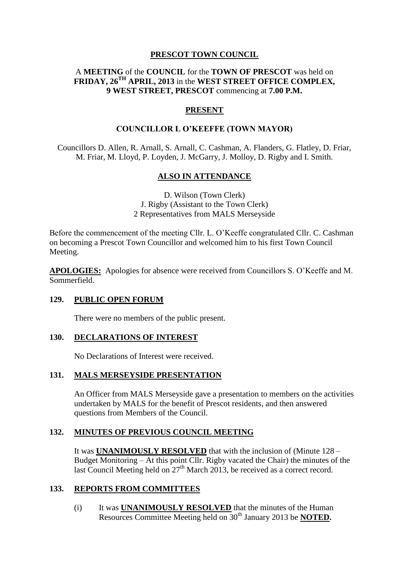# **PRESCOT TOWN COUNCIL**

# A **MEETING** of the **COUNCIL** for the **TOWN OF PRESCOT** was held on **FRIDAY, 26TH APRIL, 2013** in the **WEST STREET OFFICE COMPLEX, 9 WEST STREET, PRESCOT** commencing at **7.00 P.M.**

# **PRESENT**

## **COUNCILLOR L O'KEEFFE (TOWN MAYOR)**

Councillors D. Allen, R. Arnall, S. Arnall, C. Cashman, A. Flanders, G. Flatley, D. Friar, M. Friar, M. Lloyd, P. Loyden, J. McGarry, J. Molloy, D. Rigby and I. Smith.

# **ALSO IN ATTENDANCE**

D. Wilson (Town Clerk) J. Rigby (Assistant to the Town Clerk) 2 Representatives from MALS Merseyside

Before the commencement of the meeting Cllr. L. O'Keeffe congratulated Cllr. C. Cashman on becoming a Prescot Town Councillor and welcomed him to his first Town Council Meeting.

**APOLOGIES:** Apologies for absence were received from Councillors S. O'Keeffe and M. Sommerfield.

### **129. PUBLIC OPEN FORUM**

There were no members of the public present.

### **130. DECLARATIONS OF INTEREST**

No Declarations of Interest were received.

### **131. MALS MERSEYSIDE PRESENTATION**

An Officer from MALS Merseyside gave a presentation to members on the activities undertaken by MALS for the benefit of Prescot residents, and then answered questions from Members of the Council.

# **132. MINUTES OF PREVIOUS COUNCIL MEETING**

It was **UNANIMOUSLY RESOLVED** that with the inclusion of (Minute 128 – Budget Monitoring – At this point Cllr. Rigby vacated the Chair) the minutes of the last Council Meeting held on  $27<sup>th</sup>$  March 2013, be received as a correct record.

### **133. REPORTS FROM COMMITTEES**

(i) It was **UNANIMOUSLY RESOLVED** that the minutes of the Human Resources Committee Meeting held on 30<sup>th</sup> January 2013 be **NOTED**.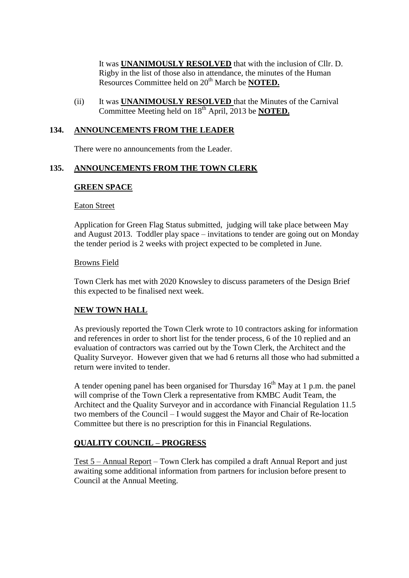It was **UNANIMOUSLY RESOLVED** that with the inclusion of Cllr. D. Rigby in the list of those also in attendance, the minutes of the Human Resources Committee held on 20<sup>th</sup> March be **NOTED.** 

(ii) It was **UNANIMOUSLY RESOLVED** that the Minutes of the Carnival Committee Meeting held on 18<sup>th</sup> April, 2013 be **NOTED.** 

### **134. ANNOUNCEMENTS FROM THE LEADER**

There were no announcements from the Leader.

### **135. ANNOUNCEMENTS FROM THE TOWN CLERK**

#### **GREEN SPACE**

#### Eaton Street

Application for Green Flag Status submitted, judging will take place between May and August 2013. Toddler play space – invitations to tender are going out on Monday the tender period is 2 weeks with project expected to be completed in June.

#### Browns Field

Town Clerk has met with 2020 Knowsley to discuss parameters of the Design Brief this expected to be finalised next week.

### **NEW TOWN HALL**

As previously reported the Town Clerk wrote to 10 contractors asking for information and references in order to short list for the tender process, 6 of the 10 replied and an evaluation of contractors was carried out by the Town Clerk, the Architect and the Quality Surveyor. However given that we had 6 returns all those who had submitted a return were invited to tender.

A tender opening panel has been organised for Thursday  $16<sup>th</sup>$  May at 1 p.m. the panel will comprise of the Town Clerk a representative from KMBC Audit Team, the Architect and the Quality Surveyor and in accordance with Financial Regulation 11.5 two members of the Council – I would suggest the Mayor and Chair of Re-location Committee but there is no prescription for this in Financial Regulations.

#### **QUALITY COUNCIL – PROGRESS**

Test 5 – Annual Report – Town Clerk has compiled a draft Annual Report and just awaiting some additional information from partners for inclusion before present to Council at the Annual Meeting.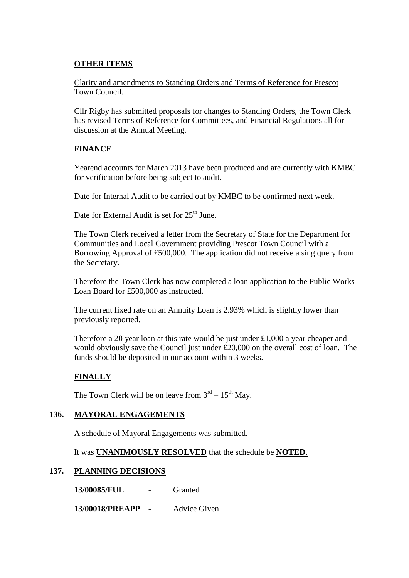# **OTHER ITEMS**

Clarity and amendments to Standing Orders and Terms of Reference for Prescot Town Council.

Cllr Rigby has submitted proposals for changes to Standing Orders, the Town Clerk has revised Terms of Reference for Committees, and Financial Regulations all for discussion at the Annual Meeting.

# **FINANCE**

Yearend accounts for March 2013 have been produced and are currently with KMBC for verification before being subject to audit.

Date for Internal Audit to be carried out by KMBC to be confirmed next week.

Date for External Audit is set for 25<sup>th</sup> June.

The Town Clerk received a letter from the Secretary of State for the Department for Communities and Local Government providing Prescot Town Council with a Borrowing Approval of £500,000. The application did not receive a sing query from the Secretary.

Therefore the Town Clerk has now completed a loan application to the Public Works Loan Board for £500,000 as instructed.

The current fixed rate on an Annuity Loan is 2.93% which is slightly lower than previously reported.

Therefore a 20 year loan at this rate would be just under £1,000 a year cheaper and would obviously save the Council just under £20,000 on the overall cost of loan. The funds should be deposited in our account within 3 weeks.

# **FINALLY**

The Town Clerk will be on leave from  $3^{rd} - 15^{th}$  May.

# **136. MAYORAL ENGAGEMENTS**

A schedule of Mayoral Engagements was submitted.

It was **UNANIMOUSLY RESOLVED** that the schedule be **NOTED.**

# **137. PLANNING DECISIONS**

**13/00085/FUL** - Granted

**13/00018/PREAPP -** Advice Given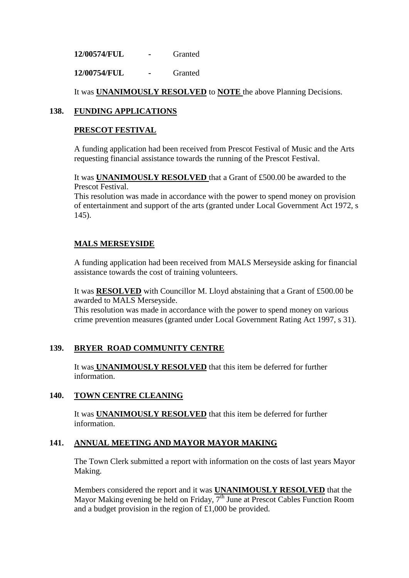**12/00574/FUL -** Granted

**12/00754/FUL -** Granted

It was **UNANIMOUSLY RESOLVED** to **NOTE** the above Planning Decisions.

## **138. FUNDING APPLICATIONS**

#### **PRESCOT FESTIVAL**

A funding application had been received from Prescot Festival of Music and the Arts requesting financial assistance towards the running of the Prescot Festival.

It was **UNANIMOUSLY RESOLVED** that a Grant of £500.00 be awarded to the Prescot Festival.

This resolution was made in accordance with the power to spend money on provision of entertainment and support of the arts (granted under Local Government Act 1972, s 145).

## **MALS MERSEYSIDE**

A funding application had been received from MALS Merseyside asking for financial assistance towards the cost of training volunteers.

It was **RESOLVED** with Councillor M. Lloyd abstaining that a Grant of £500.00 be awarded to MALS Merseyside.

This resolution was made in accordance with the power to spend money on various crime prevention measures (granted under Local Government Rating Act 1997, s 31).

### **139. BRYER ROAD COMMUNITY CENTRE**

It was **UNANIMOUSLY RESOLVED** that this item be deferred for further information.

### **140. TOWN CENTRE CLEANING**

It was **UNANIMOUSLY RESOLVED** that this item be deferred for further information.

### **141. ANNUAL MEETING AND MAYOR MAYOR MAKING**

The Town Clerk submitted a report with information on the costs of last years Mayor Making.

Members considered the report and it was **UNANIMOUSLY RESOLVED** that the Mayor Making evening be held on Friday,  $7<sup>th</sup>$  June at Prescot Cables Function Room and a budget provision in the region of £1,000 be provided.